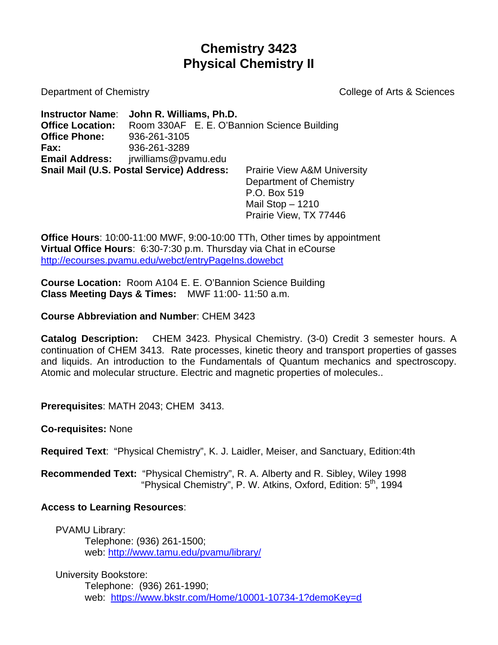# **Chemistry 3423 Physical Chemistry II**

Department of Chemistry **College of Arts & Sciences** 

**Instructor Name**: **John R. Williams, Ph.D. Office Location:** Room 330AF E. E. O'Bannion Science Building **Office Phone:** 936-261-3105 **Fax:** 936-261-3289 **Email Address:** jrwilliams@pvamu.edu **Snail Mail (U.S. Postal Service) Address:** Prairie View A&M University

 Department of Chemistry P.O. Box 519 Mail Stop – 1210 Prairie View, TX 77446

**Office Hours**: 10:00-11:00 MWF, 9:00-10:00 TTh, Other times by appointment **Virtual Office Hours**: 6:30-7:30 p.m. Thursday via Chat in eCourse <http://ecourses.pvamu.edu/webct/entryPageIns.dowebct>

**Course Location:** Room A104 E. E. O'Bannion Science Building **Class Meeting Days & Times:** MWF 11:00- 11:50 a.m.

**Course Abbreviation and Number**: CHEM 3423

**Catalog Description:** CHEM 3423. Physical Chemistry. (3-0) Credit 3 semester hours. A continuation of CHEM 3413. Rate processes, kinetic theory and transport properties of gasses and liquids. An introduction to the Fundamentals of Quantum mechanics and spectroscopy. Atomic and molecular structure. Electric and magnetic properties of molecules..

**Prerequisites**: MATH 2043; CHEM 3413.

**Co-requisites:** None

**Required Text**: "Physical Chemistry", K. J. Laidler, Meiser, and Sanctuary, Edition:4th

**Recommended Text:** "Physical Chemistry", R. A. Alberty and R. Sibley, Wiley 1998 "Physical Chemistry", P. W. Atkins, Oxford, Edition: 5<sup>th</sup>, 1994

### **Access to Learning Resources**:

PVAMU Library: Telephone: (936) 261-1500; web:<http://www.tamu.edu/pvamu/library/>

University Bookstore: Telephone: (936) 261-1990; web: <https://www.bkstr.com/Home/10001-10734-1?demoKey=d>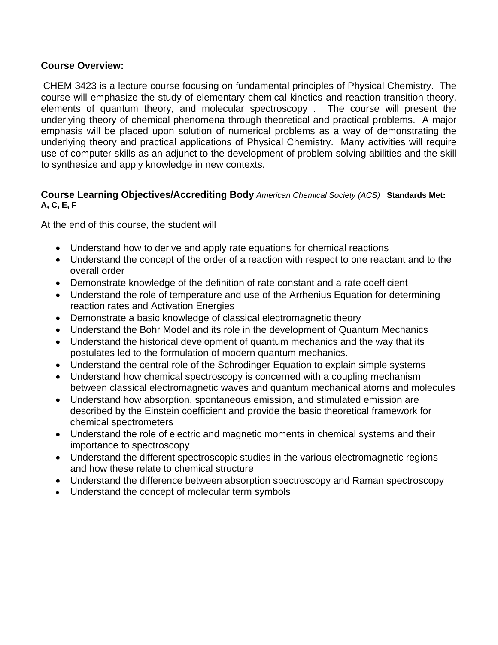#### **Course Overview:**

CHEM 3423 is a lecture course focusing on fundamental principles of Physical Chemistry. The course will emphasize the study of elementary chemical kinetics and reaction transition theory, elements of quantum theory, and molecular spectroscopy . The course will present the underlying theory of chemical phenomena through theoretical and practical problems. A major emphasis will be placed upon solution of numerical problems as a way of demonstrating the underlying theory and practical applications of Physical Chemistry. Many activities will require use of computer skills as an adjunct to the development of problem-solving abilities and the skill to synthesize and apply knowledge in new contexts.

#### **Course Learning Objectives/Accrediting Body** *American Chemical Society (ACS)* **Standards Met: A, C, E, F**

At the end of this course, the student will

- Understand how to derive and apply rate equations for chemical reactions
- Understand the concept of the order of a reaction with respect to one reactant and to the overall order
- Demonstrate knowledge of the definition of rate constant and a rate coefficient
- Understand the role of temperature and use of the Arrhenius Equation for determining reaction rates and Activation Energies
- Demonstrate a basic knowledge of classical electromagnetic theory
- Understand the Bohr Model and its role in the development of Quantum Mechanics
- Understand the historical development of quantum mechanics and the way that its postulates led to the formulation of modern quantum mechanics.
- Understand the central role of the Schrodinger Equation to explain simple systems
- Understand how chemical spectroscopy is concerned with a coupling mechanism between classical electromagnetic waves and quantum mechanical atoms and molecules
- Understand how absorption, spontaneous emission, and stimulated emission are described by the Einstein coefficient and provide the basic theoretical framework for chemical spectrometers
- Understand the role of electric and magnetic moments in chemical systems and their importance to spectroscopy
- Understand the different spectroscopic studies in the various electromagnetic regions and how these relate to chemical structure
- Understand the difference between absorption spectroscopy and Raman spectroscopy
- Understand the concept of molecular term symbols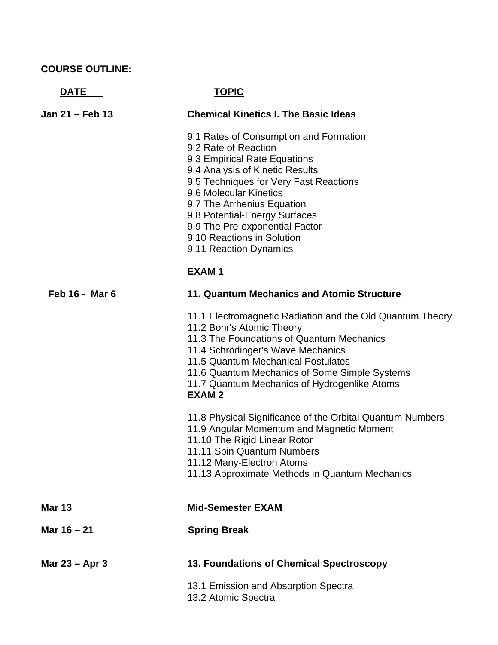## **COURSE OUTLINE:**

**DATE** TOPIC

| Jan 21 – Feb 13 | <b>Chemical Kinetics I. The Basic Ideas</b>                                                                                                                                                                                                                                                                                                                    |
|-----------------|----------------------------------------------------------------------------------------------------------------------------------------------------------------------------------------------------------------------------------------------------------------------------------------------------------------------------------------------------------------|
|                 | 9.1 Rates of Consumption and Formation<br>9.2 Rate of Reaction<br>9.3 Empirical Rate Equations<br>9.4 Analysis of Kinetic Results<br>9.5 Techniques for Very Fast Reactions<br>9.6 Molecular Kinetics<br>9.7 The Arrhenius Equation<br>9.8 Potential-Energy Surfaces<br>9.9 The Pre-exponential Factor<br>9.10 Reactions in Solution<br>9.11 Reaction Dynamics |
|                 | <b>EXAM1</b>                                                                                                                                                                                                                                                                                                                                                   |
| Feb 16 - Mar 6  | 11. Quantum Mechanics and Atomic Structure                                                                                                                                                                                                                                                                                                                     |
|                 | 11.1 Electromagnetic Radiation and the Old Quantum Theory<br>11.2 Bohr's Atomic Theory<br>11.3 The Foundations of Quantum Mechanics<br>11.4 Schrödinger's Wave Mechanics<br>11.5 Quantum-Mechanical Postulates<br>11.6 Quantum Mechanics of Some Simple Systems<br>11.7 Quantum Mechanics of Hydrogenlike Atoms<br><b>EXAM2</b>                                |
|                 | 11.8 Physical Significance of the Orbital Quantum Numbers<br>11.9 Angular Momentum and Magnetic Moment<br>11.10 The Rigid Linear Rotor<br>11.11 Spin Quantum Numbers<br>11.12 Many-Electron Atoms<br>11.13 Approximate Methods in Quantum Mechanics                                                                                                            |
| <b>Mar 13</b>   | <b>Mid-Semester EXAM</b>                                                                                                                                                                                                                                                                                                                                       |
| Mar 16 - 21     | <b>Spring Break</b>                                                                                                                                                                                                                                                                                                                                            |
| Mar 23 – Apr 3  | 13. Foundations of Chemical Spectroscopy                                                                                                                                                                                                                                                                                                                       |
|                 | 13.1 Emission and Absorption Spectra<br>13.2 Atomic Spectra                                                                                                                                                                                                                                                                                                    |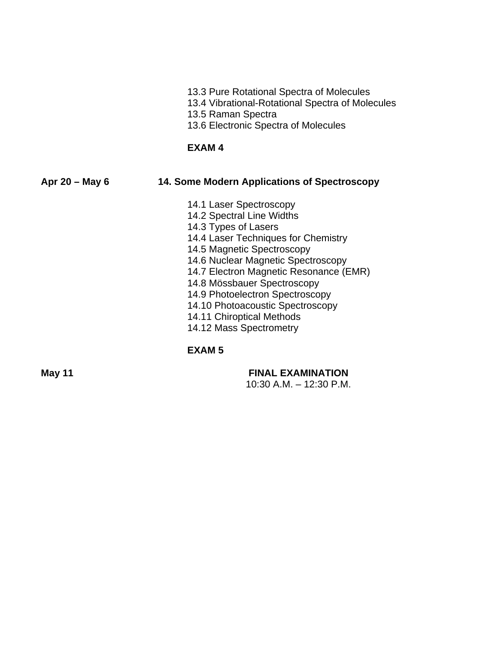- 13.3 Pure Rotational Spectra of Molecules
- 13.4 Vibrational-Rotational Spectra of Molecules
- 13.5 Raman Spectra
- 13.6 Electronic Spectra of Molecules

#### **EXAM 4**

#### **Apr 20 – May 6 14. Some Modern Applications of Spectroscopy**

- 14.1 Laser Spectroscopy
- 14.2 Spectral Line Widths
- 14.3 Types of Lasers
- 14.4 Laser Techniques for Chemistry
- 14.5 Magnetic Spectroscopy
- 14.6 Nuclear Magnetic Spectroscopy
- 14.7 Electron Magnetic Resonance (EMR)
- 14.8 Mössbauer Spectroscopy
- 14.9 Photoelectron Spectroscopy
- 14.10 Photoacoustic Spectroscopy
- 14.11 Chiroptical Methods
- 14.12 Mass Spectrometry

### **EXAM 5**

### **May 11 FINAL EXAMINATION**

10:30 A.M. – 12:30 P.M.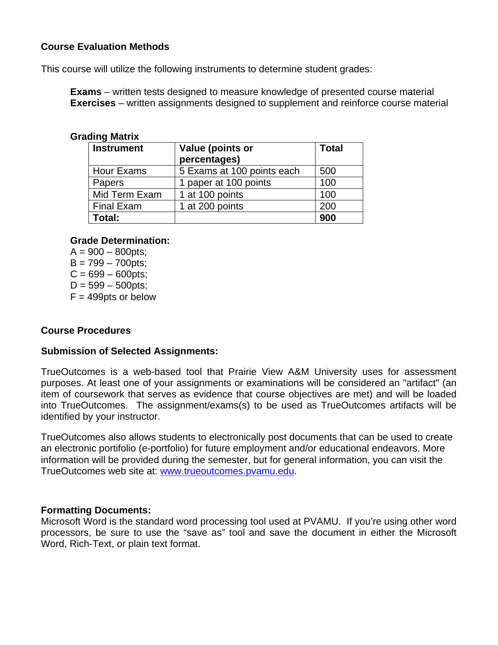#### **Course Evaluation Methods**

This course will utilize the following instruments to determine student grades:

**Exams** – written tests designed to measure knowledge of presented course material **Exercises** – written assignments designed to supplement and reinforce course material

#### **Grading Matrix**

| <b>Instrument</b> | Value (points or<br>percentages) | <b>Total</b> |
|-------------------|----------------------------------|--------------|
| <b>Hour Exams</b> | 5 Exams at 100 points each       | 500          |
| Papers            | 1 paper at 100 points            | 100          |
| Mid Term Exam     | 1 at 100 points                  | 100          |
| <b>Final Exam</b> | 1 at 200 points                  | 200          |
| Total:            |                                  | 900          |

#### **Grade Determination:**

 $A = 900 - 800$  pts:  $B = 799 - 700$ pts;  $C = 699 - 600$ pts;  $D = 599 - 500$ pts;  $F = 499$ pts or below

#### **Course Procedures**

#### **Submission of Selected Assignments:**

TrueOutcomes is a web-based tool that Prairie View A&M University uses for assessment purposes. At least one of your assignments or examinations will be considered an "artifact" (an item of coursework that serves as evidence that course objectives are met) and will be loaded into TrueOutcomes. The assignment/exams(s) to be used as TrueOutcomes artifacts will be identified by your instructor.

TrueOutcomes also allows students to electronically post documents that can be used to create an electronic portifolio (e-portfolio) for future employment and/or educational endeavors. More information will be provided during the semester, but for general information, you can visit the TrueOutcomes web site at: [www.trueoutcomes.pvamu.edu.](http://www.trueoutcomes.pvamu.edu/)

#### **Formatting Documents:**

Microsoft Word is the standard word processing tool used at PVAMU. If you're using other word processors, be sure to use the "save as" tool and save the document in either the Microsoft Word, Rich-Text, or plain text format.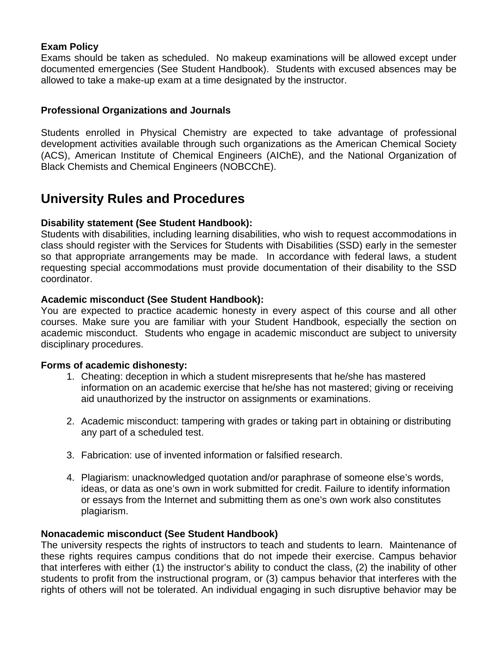#### **Exam Policy**

Exams should be taken as scheduled. No makeup examinations will be allowed except under documented emergencies (See Student Handbook). Students with excused absences may be allowed to take a make-up exam at a time designated by the instructor.

#### **Professional Organizations and Journals**

Students enrolled in Physical Chemistry are expected to take advantage of professional development activities available through such organizations as the American Chemical Society (ACS), American Institute of Chemical Engineers (AIChE), and the National Organization of Black Chemists and Chemical Engineers (NOBCChE).

## **University Rules and Procedures**

#### **Disability statement (See Student Handbook):**

Students with disabilities, including learning disabilities, who wish to request accommodations in class should register with the Services for Students with Disabilities (SSD) early in the semester so that appropriate arrangements may be made. In accordance with federal laws, a student requesting special accommodations must provide documentation of their disability to the SSD coordinator.

#### **Academic misconduct (See Student Handbook):**

You are expected to practice academic honesty in every aspect of this course and all other courses. Make sure you are familiar with your Student Handbook, especially the section on academic misconduct. Students who engage in academic misconduct are subject to university disciplinary procedures.

#### **Forms of academic dishonesty:**

- 1. Cheating: deception in which a student misrepresents that he/she has mastered information on an academic exercise that he/she has not mastered; giving or receiving aid unauthorized by the instructor on assignments or examinations.
- 2. Academic misconduct: tampering with grades or taking part in obtaining or distributing any part of a scheduled test.
- 3. Fabrication: use of invented information or falsified research.
- 4. Plagiarism: unacknowledged quotation and/or paraphrase of someone else's words, ideas, or data as one's own in work submitted for credit. Failure to identify information or essays from the Internet and submitting them as one's own work also constitutes plagiarism.

#### **Nonacademic misconduct (See Student Handbook)**

The university respects the rights of instructors to teach and students to learn. Maintenance of these rights requires campus conditions that do not impede their exercise. Campus behavior that interferes with either (1) the instructor's ability to conduct the class, (2) the inability of other students to profit from the instructional program, or (3) campus behavior that interferes with the rights of others will not be tolerated. An individual engaging in such disruptive behavior may be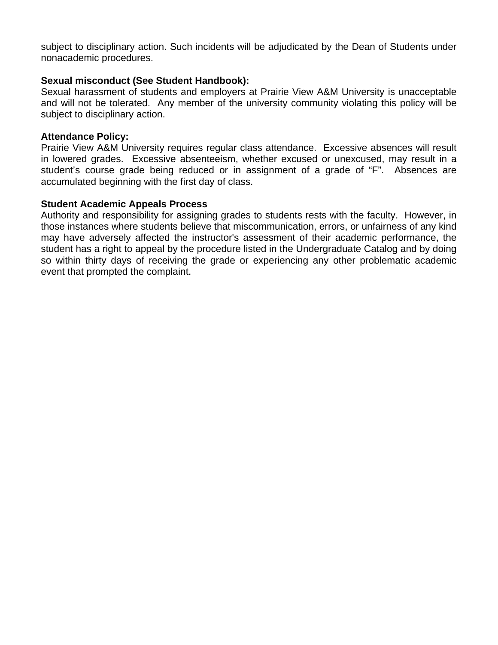subject to disciplinary action. Such incidents will be adjudicated by the Dean of Students under nonacademic procedures.

#### **Sexual misconduct (See Student Handbook):**

Sexual harassment of students and employers at Prairie View A&M University is unacceptable and will not be tolerated. Any member of the university community violating this policy will be subject to disciplinary action.

#### **Attendance Policy:**

Prairie View A&M University requires regular class attendance. Excessive absences will result in lowered grades. Excessive absenteeism, whether excused or unexcused, may result in a student's course grade being reduced or in assignment of a grade of "F". Absences are accumulated beginning with the first day of class.

#### **Student Academic Appeals Process**

Authority and responsibility for assigning grades to students rests with the faculty. However, in those instances where students believe that miscommunication, errors, or unfairness of any kind may have adversely affected the instructor's assessment of their academic performance, the student has a right to appeal by the procedure listed in the Undergraduate Catalog and by doing so within thirty days of receiving the grade or experiencing any other problematic academic event that prompted the complaint.